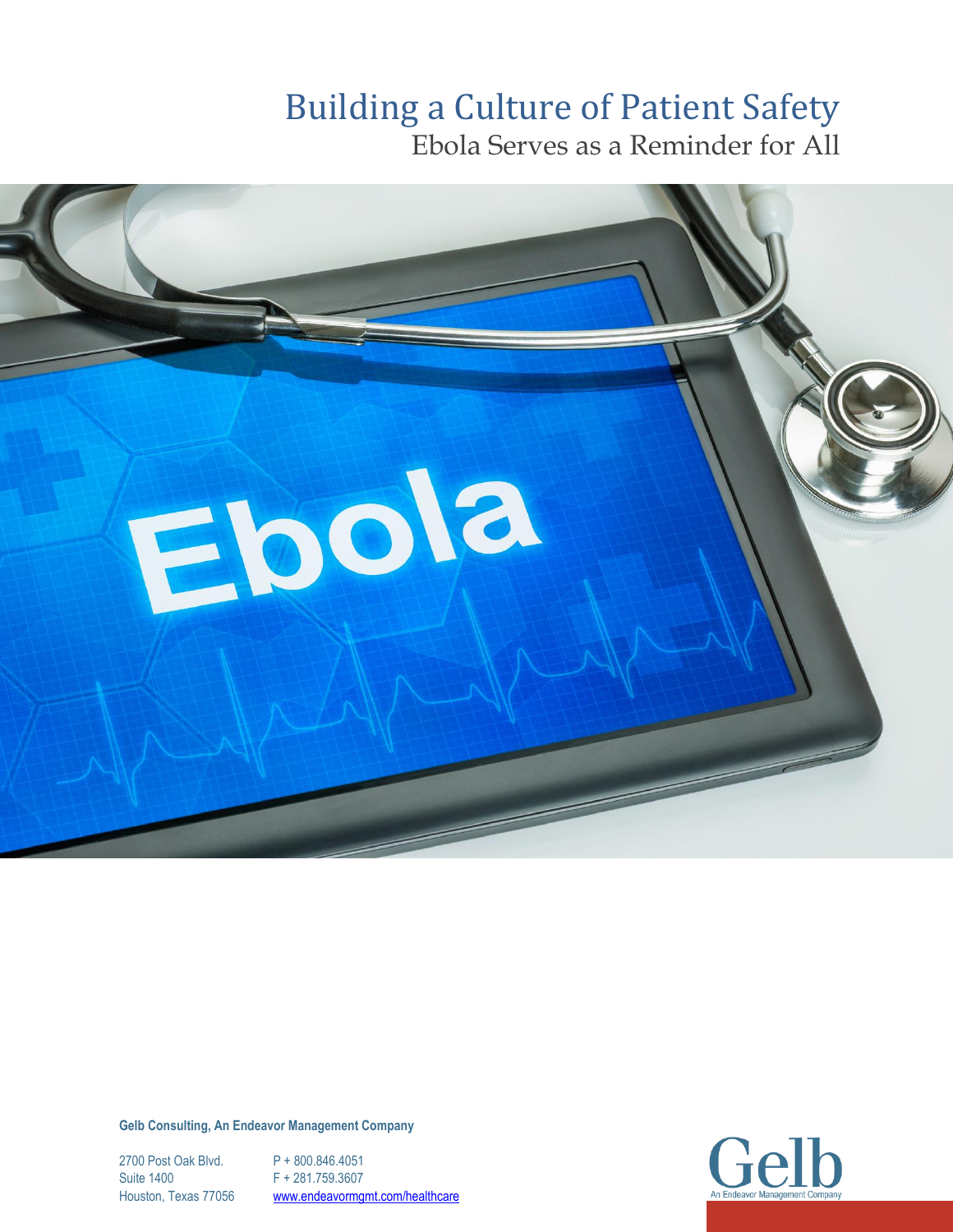# Building a Culture of Patient Safety

Ebola Serves as a Reminder for All



**Gelb Consulting, An Endeavor Management Company**

2700 Post Oak Blvd. P + 800.846.4051 Suite 1400 F + 281.759.3607 Houston, Texas 77056 [www.endeavormgmt.com/healthcare](http://www./#endeavormgmt.com/healthcare)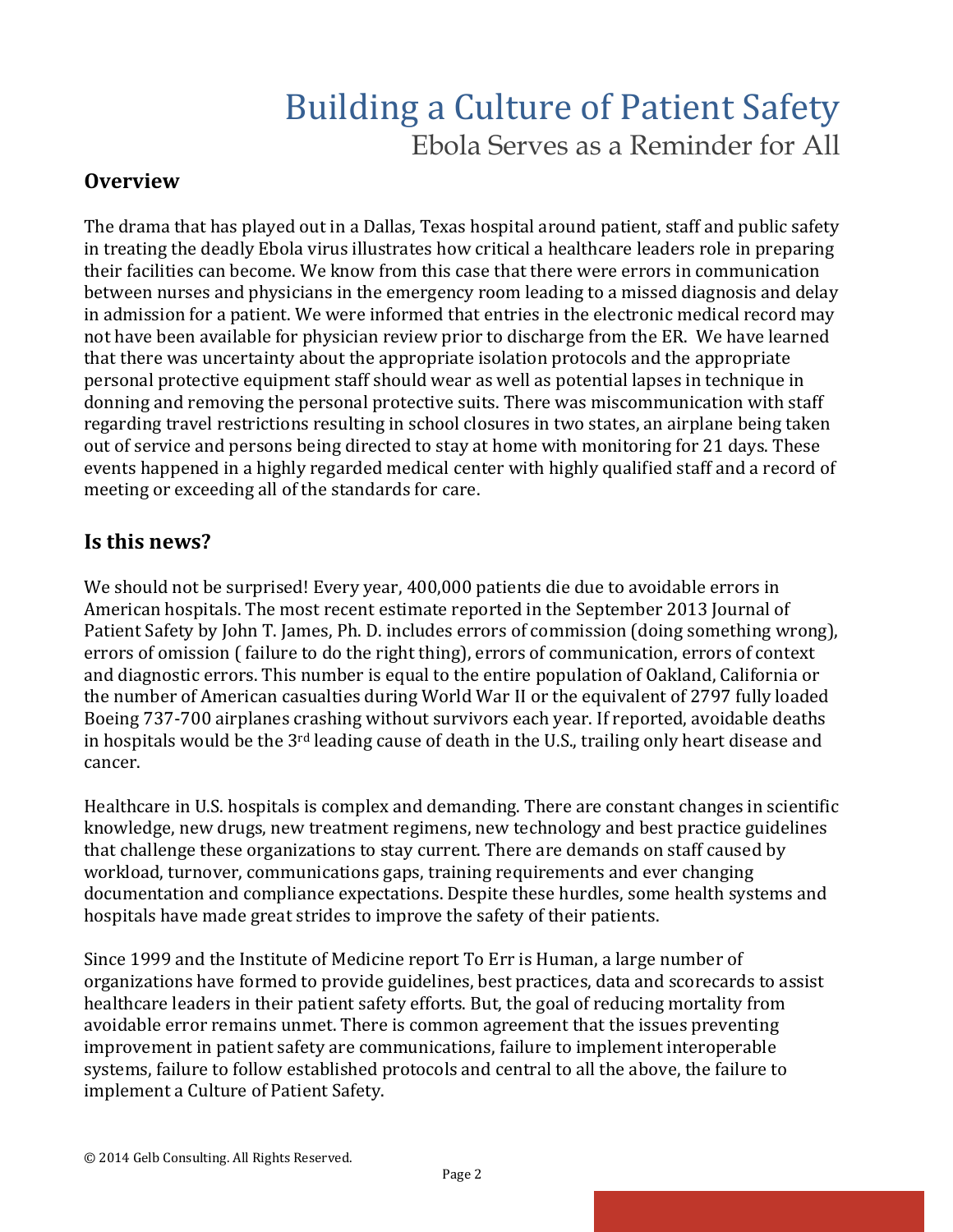### **Overview**

The drama that has played out in a Dallas, Texas hospital around patient, staff and public safety in treating the deadly Ebola virus illustrates how critical a healthcare leaders role in preparing their facilities can become. We know from this case that there were errors in communication between nurses and physicians in the emergency room leading to a missed diagnosis and delay in admission for a patient. We were informed that entries in the electronic medical record may not have been available for physician review prior to discharge from the ER. We have learned that there was uncertainty about the appropriate isolation protocols and the appropriate personal protective equipment staff should wear as well as potential lapses in technique in donning and removing the personal protective suits. There was miscommunication with staff regarding travel restrictions resulting in school closures in two states, an airplane being taken out of service and persons being directed to stay at home with monitoring for 21 days. These events happened in a highly regarded medical center with highly qualified staff and a record of meeting or exceeding all of the standards for care.

### **Is this news?**

We should not be surprised! Every year, 400,000 patients die due to avoidable errors in American hospitals. The most recent estimate reported in the September 2013 Journal of Patient Safety by John T. James, Ph. D. includes errors of commission (doing something wrong), errors of omission ( failure to do the right thing), errors of communication, errors of context and diagnostic errors. This number is equal to the entire population of Oakland, California or the number of American casualties during World War II or the equivalent of 2797 fully loaded Boeing 737-700 airplanes crashing without survivors each year. If reported, avoidable deaths in hospitals would be the 3rd leading cause of death in the U.S., trailing only heart disease and cancer.

Healthcare in U.S. hospitals is complex and demanding. There are constant changes in scientific knowledge, new drugs, new treatment regimens, new technology and best practice guidelines that challenge these organizations to stay current. There are demands on staff caused by workload, turnover, communications gaps, training requirements and ever changing documentation and compliance expectations. Despite these hurdles, some health systems and hospitals have made great strides to improve the safety of their patients.

Since 1999 and the Institute of Medicine report To Err is Human, a large number of organizations have formed to provide guidelines, best practices, data and scorecards to assist healthcare leaders in their patient safety efforts. But, the goal of reducing mortality from avoidable error remains unmet. There is common agreement that the issues preventing improvement in patient safety are communications, failure to implement interoperable systems, failure to follow established protocols and central to all the above, the failure to implement a Culture of Patient Safety.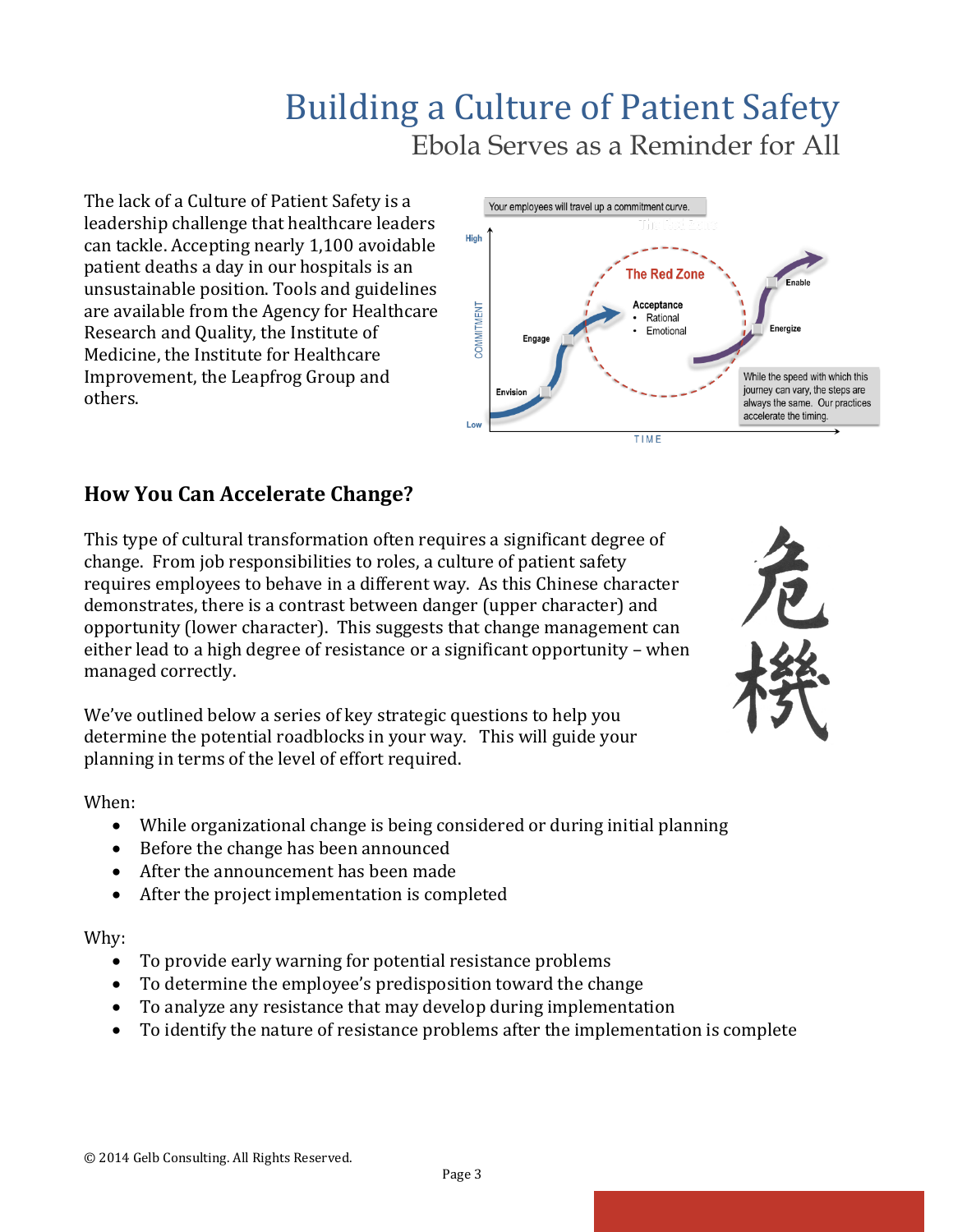The lack of a Culture of Patient Safety is a leadership challenge that healthcare leaders can tackle. Accepting nearly 1,100 avoidable patient deaths a day in our hospitals is an unsustainable position. Tools and guidelines are available from the Agency for Healthcare Research and Quality, the Institute of Medicine, the Institute for Healthcare Improvement, the Leapfrog Group and others.



### **How You Can Accelerate Change?**

This type of cultural transformation often requires a significant degree of change. From job responsibilities to roles, a culture of patient safety requires employees to behave in a different way. As this Chinese character demonstrates, there is a contrast between danger (upper character) and opportunity (lower character). This suggests that change management can either lead to a high degree of resistance or a significant opportunity – when managed correctly.

We've outlined below a series of key strategic questions to help you determine the potential roadblocks in your way. This will guide your planning in terms of the level of effort required.

When:

- While organizational change is being considered or during initial planning
- Before the change has been announced
- After the announcement has been made
- After the project implementation is completed

#### Why:

- To provide early warning for potential resistance problems
- To determine the employee's predisposition toward the change
- To analyze any resistance that may develop during implementation
- To identify the nature of resistance problems after the implementation is complete

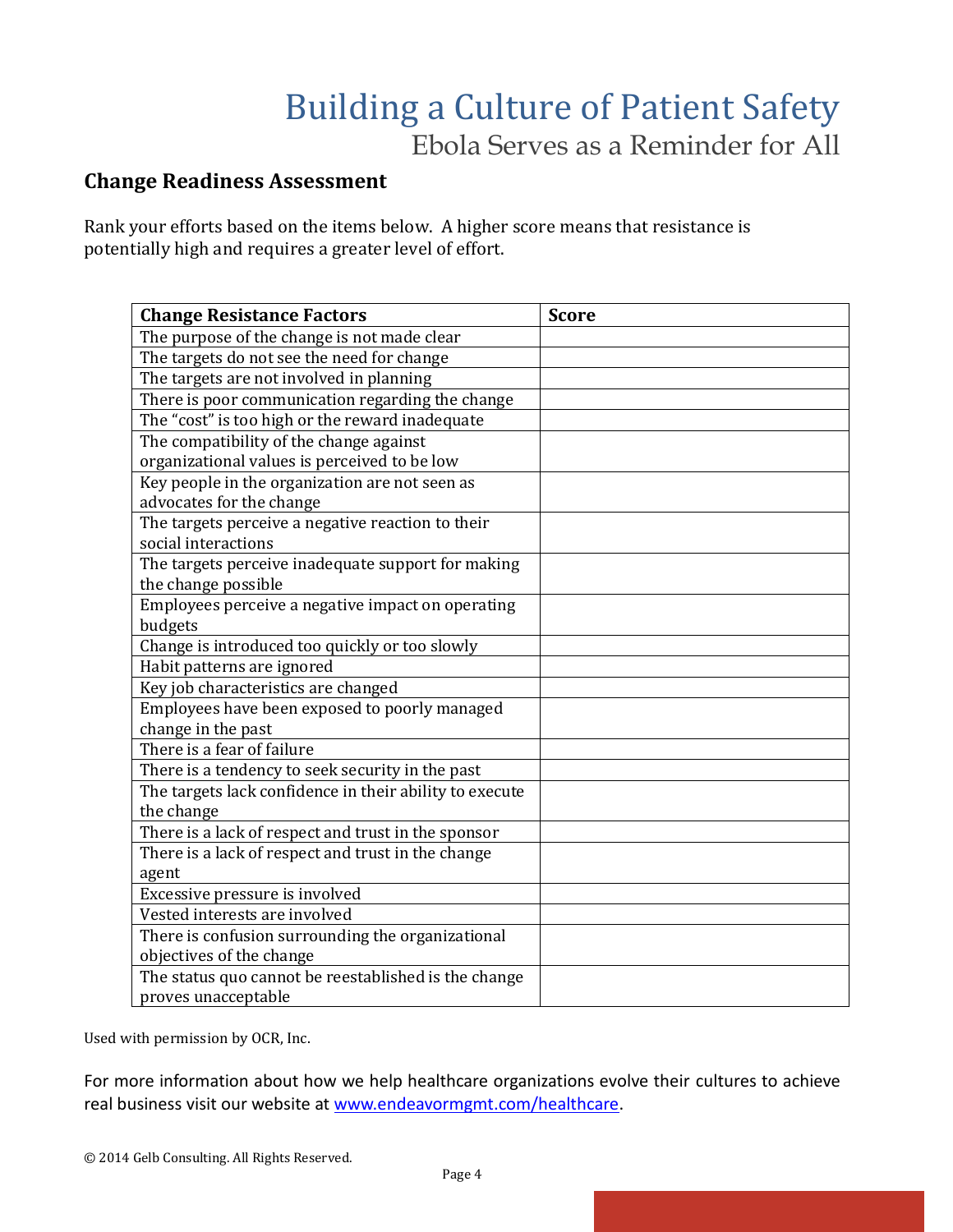### **Change Readiness Assessment**

Rank your efforts based on the items below. A higher score means that resistance is potentially high and requires a greater level of effort.

| <b>Change Resistance Factors</b>                        | <b>Score</b> |
|---------------------------------------------------------|--------------|
| The purpose of the change is not made clear             |              |
| The targets do not see the need for change              |              |
| The targets are not involved in planning                |              |
| There is poor communication regarding the change        |              |
| The "cost" is too high or the reward inadequate         |              |
| The compatibility of the change against                 |              |
| organizational values is perceived to be low            |              |
| Key people in the organization are not seen as          |              |
| advocates for the change                                |              |
| The targets perceive a negative reaction to their       |              |
| social interactions                                     |              |
| The targets perceive inadequate support for making      |              |
| the change possible                                     |              |
| Employees perceive a negative impact on operating       |              |
| budgets                                                 |              |
| Change is introduced too quickly or too slowly          |              |
| Habit patterns are ignored                              |              |
| Key job characteristics are changed                     |              |
| Employees have been exposed to poorly managed           |              |
| change in the past                                      |              |
| There is a fear of failure                              |              |
| There is a tendency to seek security in the past        |              |
| The targets lack confidence in their ability to execute |              |
| the change                                              |              |
| There is a lack of respect and trust in the sponsor     |              |
| There is a lack of respect and trust in the change      |              |
| agent                                                   |              |
| Excessive pressure is involved                          |              |
| Vested interests are involved                           |              |
| There is confusion surrounding the organizational       |              |
| objectives of the change                                |              |
| The status quo cannot be reestablished is the change    |              |
| proves unacceptable                                     |              |

Used with permission by OCR, Inc.

For more information about how we help healthcare organizations evolve their cultures to achieve real business visit our website at [www.endeavormgmt.com/healthcare.](http://www.endeavormgmt.com/healthcare)